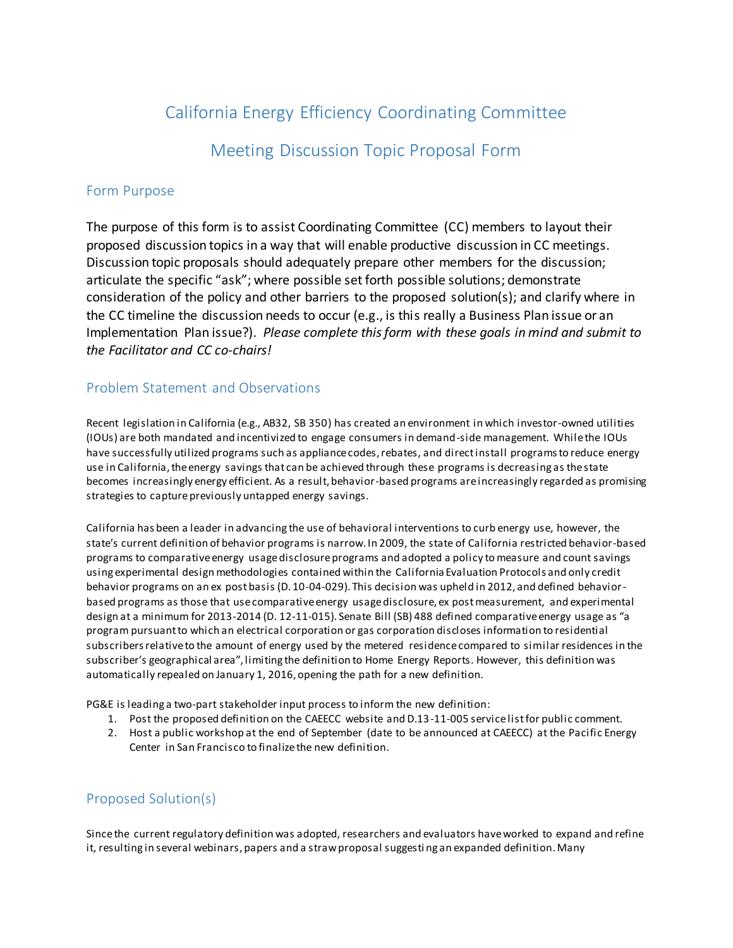# California Energy Efficiency Coordinating Committee

Meeting Discussion Topic Proposal Form

### Form Purpose

The purpose of this form is to assist Coordinating Committee (CC) members to layout their proposed discussion topics in a way that will enable productive discussion in CC meetings. Discussion topic proposals should adequately prepare other members for the discussion; articulate the specific "ask"; where possible set forth possible solutions; demonstrate consideration of the policy and other barriers to the proposed solution(s); and clarify where in the CC timeline the discussion needs to occur (e.g., is this really a Business Plan issue or an Implementation Plan issue?). *Please complete this form with these goals in mind and submit to the Facilitator and CC co-chairs!*

## Problem Statement and Observations

Recent legislation in California (e.g., AB32, SB 350) has created an environment in which investor-owned utilities (IOUs) are both mandated and incentivized to engage consumers in demand-side management. While the IOUs have successfully utilized programs such as appliance codes, rebates, and direct install programs to reduce energy use in California, the energy savings that can be achieved through these programs is decreasing as the state becomes increasingly energy efficient. As a result, behavior-based programs are increasingly regarded as promising strategies to capture previously untapped energy savings.

California has been a leader in advancing the use of behavioral interventions to curb energy use, however, the state's current definition of behavior programs is narrow. In 2009, the state of California restricted behavior-based programs to comparative energy usage disclosure programs and adopted a policy to measure and count savings using experimental design methodologies contained within the California Evaluation Protocols and only credit behavior programs on an ex post basis (D. 10-04-029). This decision was upheld in 2012, and defined behaviorbased programs as those that use comparative energy usage disclosure, ex post measurement, and experimental design at a minimum for 2013-2014 (D. 12-11-015). Senate Bill (SB) 488 defined comparative energy usage as "a program pursuant to which an electrical corporation or gas corporation discloses information to residential subscribers relative to the amount of energy used by the metered residence compared to similar residences in the subscriber's geographical area", limiting the definition to Home Energy Reports. However, this definition was automatically repealed on January 1, 2016, opening the path for a new definition.

PG&E is leading a two-part stakeholder input process to inform the new definition:

- 1. Post the proposed definition on the CAEECC website and D.13-11-005 service list for public comment.
- 2. Host a public workshop at the end of September (date to be announced at CAEECC) at the Pacific Energy Center in San Francisco to finalize the new definition.

# Proposed Solution(s)

Since the current regulatory definition was adopted, researchers and evaluators have worked to expand and refine it, resulting in several webinars, papers and a straw proposal suggesti ng an expanded definition. Many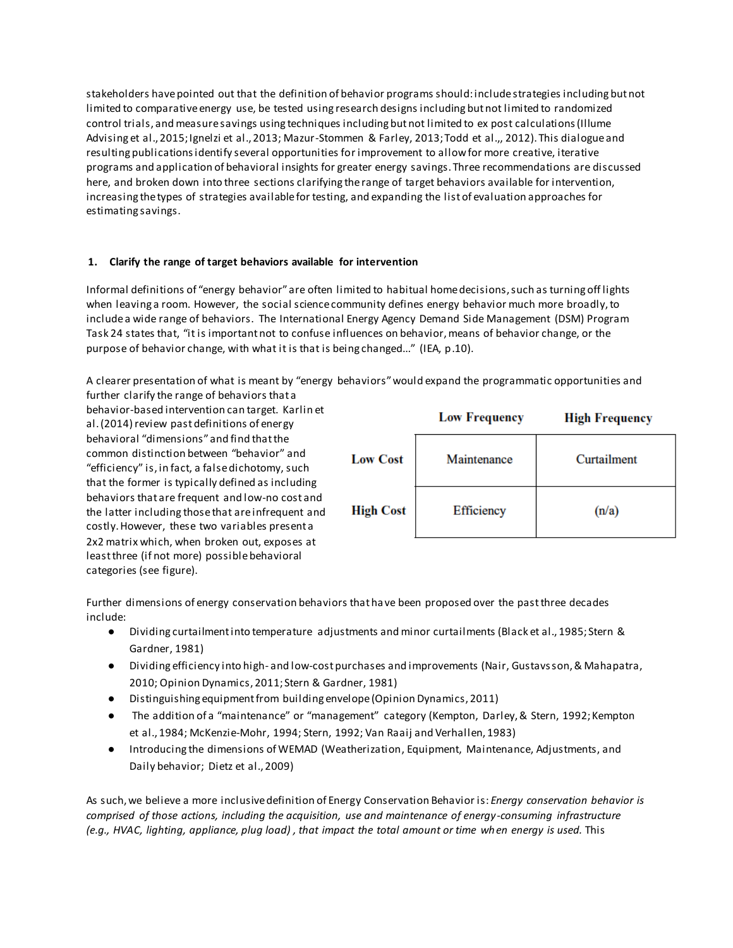stakeholders have pointed out that the definition of behavior programs should: include strategies including but not limited to comparative energy use, be tested using research designs including but not limited to randomized control trials, and measure savings using techniques including but not limited to ex post calculations (Illume Advising et al., 2015; Ignelzi et al., 2013; Mazur-Stommen & Farley, 2013; Todd et al.,, 2012). This dialogue and resulting publications identify several opportunities for improvement to allow for more creative, iterative programs and application of behavioral insights for greater energy savings. Three recommendations are discussed here, and broken down into three sections clarifying the range of target behaviors available for intervention, increasing the types of strategies available for testing, and expanding the list of evaluation approaches for estimating savings.

#### **1. Clarify the range of target behaviors available for intervention**

Informal definitions of "energy behavior" are often limited to habitual home decisions, such as turning off lights when leaving a room. However, the social science community defines energy behavior much more broadly, to include a wide range of behaviors. The International Energy Agency Demand Side Management (DSM) Program Task 24 states that, "it is important not to confuse influences on behavior, means of behavior change, or the purpose of behavior change, with what it is that is being changed..." (IEA, p.10).

A clearer presentation of what is meant by "energy behaviors" would expand the programmatic opportunities and further clarify the range of behaviors that a

behavior-based intervention can target. Karlin et al. (2014) review past definitions of energy behavioral "dimensions" and find that the common distinction between "behavior" and "efficiency" is, in fact, a false dichotomy, such that the former is typically defined as including behaviors that are frequent and low-no cost and the latter including those that are infrequent and costly. However, these two variables present a 2x2 matrix which, when broken out, exposes at least three (if not more) possible behavioral categories (see figure).

|                  | <b>Low Frequency</b> | <b>High Frequency</b> |
|------------------|----------------------|-----------------------|
| <b>Low Cost</b>  | Maintenance          | Curtailment           |
| <b>High Cost</b> | Efficiency           | (n/a)                 |

Further dimensions of energy conservation behaviors that ha ve been proposed over the past three decades include:

- Dividing curtailment into temperature adjustments and minor curtailments (Black et al., 1985; Stern & Gardner, 1981)
- Dividing efficiency into high- and low-cost purchases and improvements (Nair, Gustavsson, & Mahapatra, 2010; Opinion Dynamics, 2011; Stern & Gardner, 1981)
- Distinguishing equipment from building envelope (Opinion Dynamics, 2011)
- The addition of a "maintenance" or "management" category (Kempton, Darley, & Stern, 1992; Kempton et al., 1984; McKenzie-Mohr, 1994; Stern, 1992; Van Raaij and Verhallen, 1983)
- Introducing the dimensions of WEMAD (Weatherization, Equipment, Maintenance, Adjustments, and Daily behavior; Dietz et al., 2009)

As such, we believe a more inclusive definition of Energy Conservation Behavior is: *Energy conservation behavior is comprised of those actions, including the acquisition, use and maintenance of energy-consuming infrastructure (e.g., HVAC, lighting, appliance, plug load) , that impact the total amount or time when energy is used.* This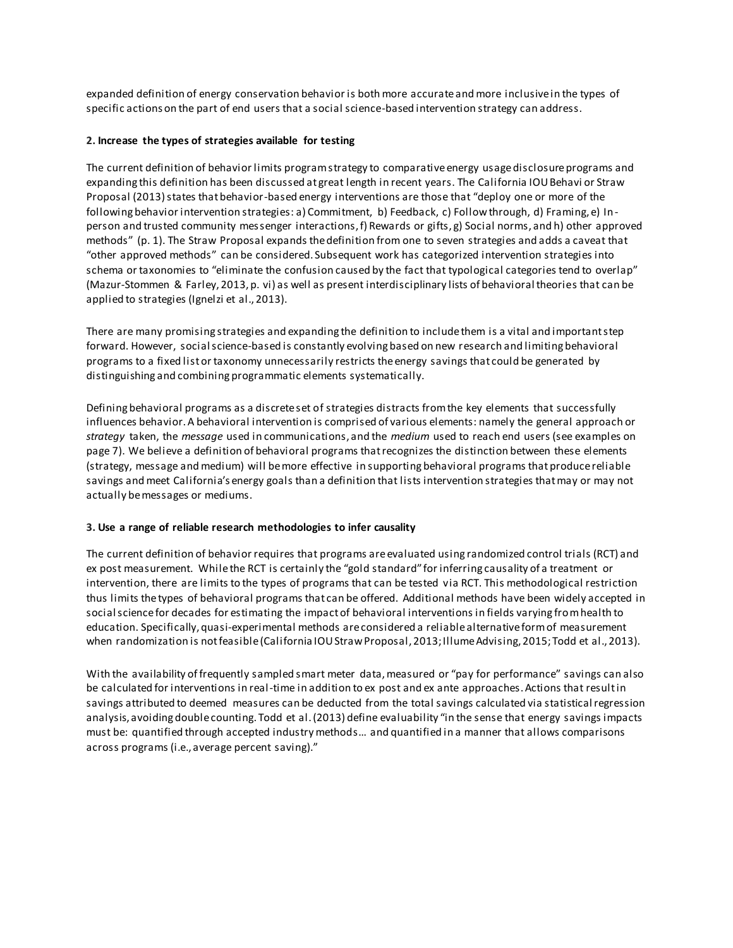expanded definition of energy conservation behavior is both more accurate and more inclusive in the types of specific actions on the part of end users that a social science-based intervention strategy can address.

#### **2. Increase the types of strategies available for testing**

The current definition of behavior limits program strategy to comparative energy usage disclosure programs and expanding this definition has been discussed at great length in recent years. The California IOU Behavi or Straw Proposal (2013) states that behavior-based energy interventions are those that "deploy one or more of the following behavior intervention strategies: a) Commitment, b) Feedback, c) Follow through, d) Framing, e) Inperson and trusted community messenger interactions, f) Rewards or gifts, g) Social norms, and h) other approved methods" (p. 1). The Straw Proposal expands the definition from one to seven strategies and adds a caveat that "other approved methods" can be considered. Subsequent work has categorized intervention strategies into schema or taxonomies to "eliminate the confusion caused by the fact that typological categories tend to overlap" (Mazur-Stommen & Farley, 2013, p. vi) as well as present interdisciplinary lists of behavioral theories that can be applied to strategies (Ignelzi et al., 2013).

There are many promising strategies and expanding the definition to include them is a vital and important step forward. However, social science-based is constantly evolving based on new research and limiting behavioral programs to a fixed list or taxonomy unnecessarily restricts the energy savings that could be generated by distinguishing and combining programmatic elements systematically.

Defining behavioral programs as a discrete set of strategies distracts from the key elements that successfully influences behavior. A behavioral intervention is comprised of various elements: namely the general approach or *strategy* taken, the *message* used in communications, and the *medium* used to reach end users (see examples on page 7). We believe a definition of behavioral programs that recognizes the distinction between these elements (strategy, message and medium) will be more effective in supporting behavioral programs that produce reliable savings and meet California's energy goals than a definition that lists intervention strategies that may or may not actually be messages or mediums.

#### **3. Use a range of reliable research methodologies to infer causality**

The current definition of behavior requires that programs are evaluated using randomized control trials (RCT) and ex post measurement. While the RCT is certainly the "gold standard" for inferring causality of a treatment or intervention, there are limits to the types of programs that can be tested via RCT. This methodological restriction thus limits the types of behavioral programs that can be offered. Additional methods have been widely accepted in social science for decades for estimating the impact of behavioral interventions in fields varying from health to education. Specifically, quasi-experimental methods are considered a reliable alternative form of measurement when randomization is not feasible (California IOU Straw Proposal, 2013; Illume Advising, 2015; Todd et al., 2013).

With the availability of frequently sampled smart meter data, measured or "pay for performance" savings can also be calculated for interventions in real-time in addition to ex post and ex ante approaches. Actions that result in savings attributed to deemed measures can be deducted from the total savings calculated via statistical regression analysis, avoiding double counting. Todd et al. (2013) define evaluability "in the sense that energy savings impacts must be: quantified through accepted industry methods… and quantified in a manner that allows comparisons across programs (i.e., average percent saving)."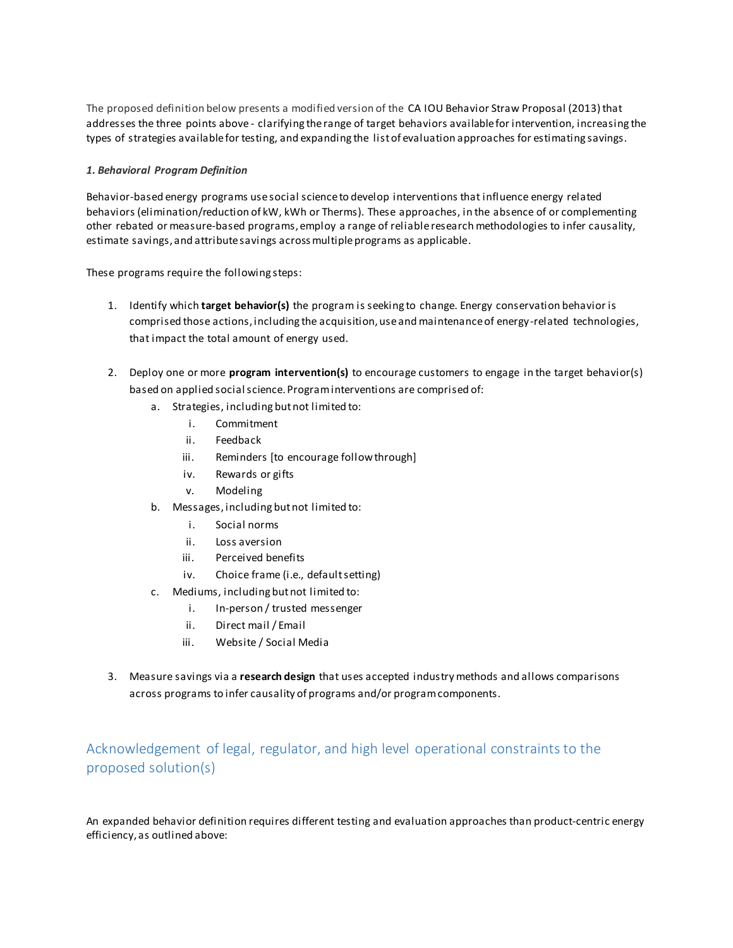The proposed definition below presents a modified version of the CA IOU Behavior Straw Proposal (2013) that addresses the three points above - clarifying the range of target behaviors available for intervention, increasing the types of strategies available for testing, and expanding the list of evaluation approaches for estimating savings.

#### *1. Behavioral Program Definition*

Behavior-based energy programs use social science to develop interventions that influence energy related behaviors (elimination/reduction of kW, kWh or Therms). These approaches, in the absence of or complementing other rebated or measure-based programs, employ a range of reliable research methodologies to infer causality, estimate savings, and attribute savings across multiple programs as applicable.

These programs require the following steps:

- 1. Identify which **target behavior(s)** the program is seeking to change. Energy conservation behavior is comprised those actions, including the acquisition, use and maintenance of energy-related technologies, that impact the total amount of energy used.
- 2. Deploy one or more **program intervention(s)** to encourage customers to engage in the target behavior(s) based on applied social science. Program interventions are comprised of:
	- a. Strategies, including but not limited to:
		- i. Commitment
		- ii. Feedback
		- iii. Reminders [to encourage follow through]
		- iv. Rewards or gifts
		- v. Modeling
	- b. Messages, including but not limited to:
		- i. Social norms
		- ii. Loss aversion
		- iii. Perceived benefits
		- iv. Choice frame (i.e., default setting)
	- c. Mediums, including but not limited to:
		- i. In-person / trusted messenger
		- ii. Direct mail / Email
		- iii. Website / Social Media
- 3. Measure savings via a **research design** that uses accepted industry methods and allows comparisons across programs to infer causality of programs and/or program components.

# Acknowledgement of legal, regulator, and high level operational constraints to the proposed solution(s)

An expanded behavior definition requires different testing and evaluation approaches than product-centric energy efficiency, as outlined above: